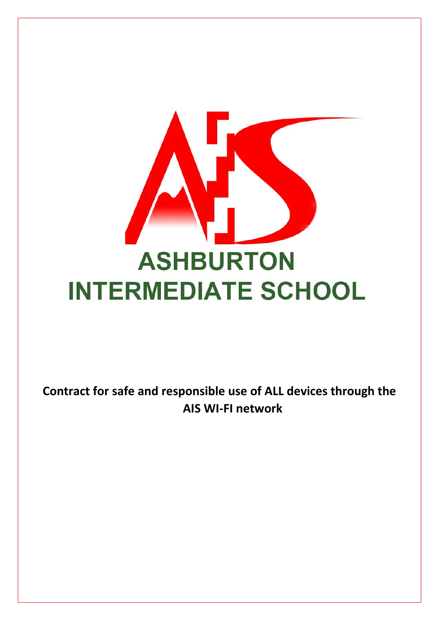

**Contract for safe and responsible use of ALL devices through the AIS WI-FI network**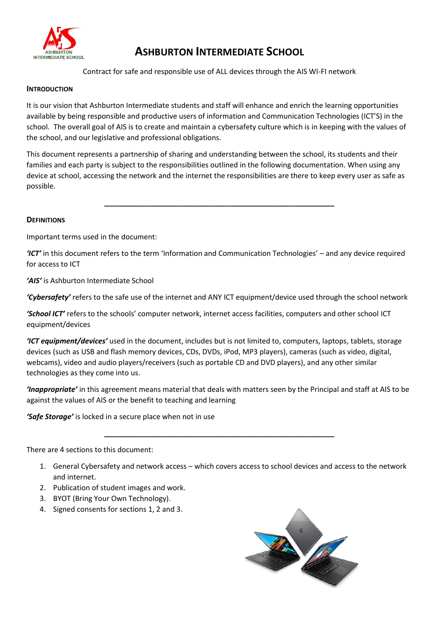

# **ASHBURTON INTERMEDIATE SCHOOL**

Contract for safe and responsible use of ALL devices through the AIS WI-FI network

### **INTRODUCTION**

It is our vision that Ashburton Intermediate students and staff will enhance and enrich the learning opportunities available by being responsible and productive users of information and Communication Technologies (ICT'S) in the school. The overall goal of AIS is to create and maintain a cybersafety culture which is in keeping with the values of the school, and our legislative and professional obligations.

This document represents a partnership of sharing and understanding between the school, its students and their families and each party is subject to the responsibilities outlined in the following documentation. When using any device at school, accessing the network and the internet the responsibilities are there to keep every user as safe as possible.

**\_\_\_\_\_\_\_\_\_\_\_\_\_\_\_\_\_\_\_\_\_\_\_\_\_\_\_\_\_\_\_\_\_\_\_\_\_\_\_\_\_\_\_\_\_\_\_\_\_\_\_\_\_\_\_\_\_**

### **DEFINITIONS**

Important terms used in the document:

*'ICT'* in this document refers to the term 'Information and Communication Technologies' – and any device required for access to ICT

*'AIS'* is Ashburton Intermediate School

*'Cybersafety'* refers to the safe use of the internet and ANY ICT equipment/device used through the school network

*'School ICT'* refers to the schools' computer network, internet access facilities, computers and other school ICT equipment/devices

*'ICT equipment/devices'* used in the document, includes but is not limited to, computers, laptops, tablets, storage devices (such as USB and flash memory devices, CDs, DVDs, iPod, MP3 players), cameras (such as video, digital, webcams), video and audio players/receivers (such as portable CD and DVD players), and any other similar technologies as they come into us.

*'Inappropriate'* in this agreement means material that deals with matters seen by the Principal and staff at AIS to be against the values of AIS or the benefit to teaching and learning

**\_\_\_\_\_\_\_\_\_\_\_\_\_\_\_\_\_\_\_\_\_\_\_\_\_\_\_\_\_\_\_\_\_\_\_\_\_\_\_\_\_\_\_\_\_\_\_\_\_\_\_\_\_\_\_\_\_**

*'Safe Storage'* is locked in a secure place when not in use

There are 4 sections to this document:

- 1. General Cybersafety and network access which covers access to school devices and access to the network and internet.
- 2. Publication of student images and work.
- 3. BYOT (Bring Your Own Technology).
- 4. Signed consents for sections 1, 2 and 3.

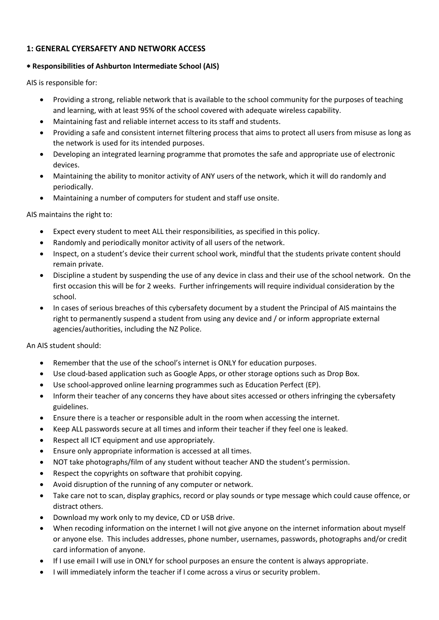# **1: GENERAL CYERSAFETY AND NETWORK ACCESS**

# **Responsibilities of Ashburton Intermediate School (AIS)**

AIS is responsible for:

- Providing a strong, reliable network that is available to the school community for the purposes of teaching and learning, with at least 95% of the school covered with adequate wireless capability.
- Maintaining fast and reliable internet access to its staff and students.
- Providing a safe and consistent internet filtering process that aims to protect all users from misuse as long as the network is used for its intended purposes.
- Developing an integrated learning programme that promotes the safe and appropriate use of electronic devices.
- Maintaining the ability to monitor activity of ANY users of the network, which it will do randomly and periodically.
- Maintaining a number of computers for student and staff use onsite.

AIS maintains the right to:

- Expect every student to meet ALL their responsibilities, as specified in this policy.
- Randomly and periodically monitor activity of all users of the network.
- Inspect, on a student's device their current school work, mindful that the students private content should remain private.
- Discipline a student by suspending the use of any device in class and their use of the school network. On the first occasion this will be for 2 weeks. Further infringements will require individual consideration by the school.
- In cases of serious breaches of this cybersafety document by a student the Principal of AIS maintains the right to permanently suspend a student from using any device and / or inform appropriate external agencies/authorities, including the NZ Police.

An AIS student should:

- Remember that the use of the school's internet is ONLY for education purposes.
- Use cloud-based application such as Google Apps, or other storage options such as Drop Box.
- Use school-approved online learning programmes such as Education Perfect (EP).
- Inform their teacher of any concerns they have about sites accessed or others infringing the cybersafety guidelines.
- Ensure there is a teacher or responsible adult in the room when accessing the internet.
- Keep ALL passwords secure at all times and inform their teacher if they feel one is leaked.
- Respect all ICT equipment and use appropriately.
- Ensure only appropriate information is accessed at all times.
- NOT take photographs/film of any student without teacher AND the student's permission.
- Respect the copyrights on software that prohibit copying.
- Avoid disruption of the running of any computer or network.
- Take care not to scan, display graphics, record or play sounds or type message which could cause offence, or distract others.
- Download my work only to my device, CD or USB drive.
- When recoding information on the internet I will not give anyone on the internet information about myself or anyone else. This includes addresses, phone number, usernames, passwords, photographs and/or credit card information of anyone.
- If I use email I will use in ONLY for school purposes an ensure the content is always appropriate.
- I will immediately inform the teacher if I come across a virus or security problem.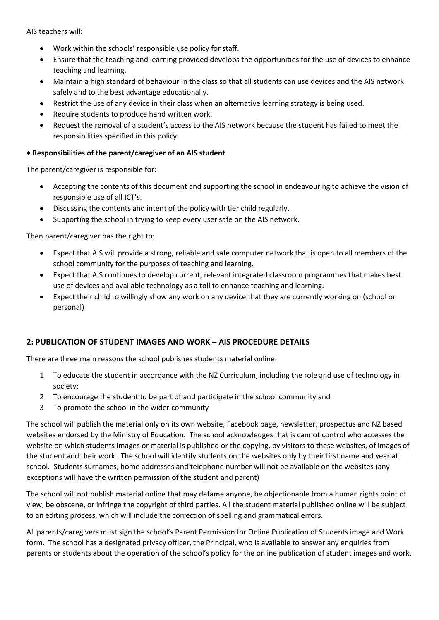AIS teachers will:

- Work within the schools' responsible use policy for staff.
- Ensure that the teaching and learning provided develops the opportunities for the use of devices to enhance teaching and learning.
- Maintain a high standard of behaviour in the class so that all students can use devices and the AIS network safely and to the best advantage educationally.
- Restrict the use of any device in their class when an alternative learning strategy is being used.
- Require students to produce hand written work.
- Request the removal of a student's access to the AIS network because the student has failed to meet the responsibilities specified in this policy.

## **Responsibilities of the parent/caregiver of an AIS student**

The parent/caregiver is responsible for:

- Accepting the contents of this document and supporting the school in endeavouring to achieve the vision of responsible use of all ICT's.
- Discussing the contents and intent of the policy with tier child regularly.
- Supporting the school in trying to keep every user safe on the AIS network.

Then parent/caregiver has the right to:

- Expect that AIS will provide a strong, reliable and safe computer network that is open to all members of the school community for the purposes of teaching and learning.
- Expect that AIS continues to develop current, relevant integrated classroom programmes that makes best use of devices and available technology as a toll to enhance teaching and learning.
- Expect their child to willingly show any work on any device that they are currently working on (school or personal)

## **2: PUBLICATION OF STUDENT IMAGES AND WORK – AIS PROCEDURE DETAILS**

There are three main reasons the school publishes students material online:

- 1 To educate the student in accordance with the NZ Curriculum, including the role and use of technology in society;
- 2 To encourage the student to be part of and participate in the school community and
- 3 To promote the school in the wider community

The school will publish the material only on its own website, Facebook page, newsletter, prospectus and NZ based websites endorsed by the Ministry of Education. The school acknowledges that is cannot control who accesses the website on which students images or material is published or the copying, by visitors to these websites, of images of the student and their work. The school will identify students on the websites only by their first name and year at school. Students surnames, home addresses and telephone number will not be available on the websites (any exceptions will have the written permission of the student and parent)

The school will not publish material online that may defame anyone, be objectionable from a human rights point of view, be obscene, or infringe the copyright of third parties. All the student material published online will be subject to an editing process, which will include the correction of spelling and grammatical errors.

All parents/caregivers must sign the school's Parent Permission for Online Publication of Students image and Work form. The school has a designated privacy officer, the Principal, who is available to answer any enquiries from parents or students about the operation of the school's policy for the online publication of student images and work.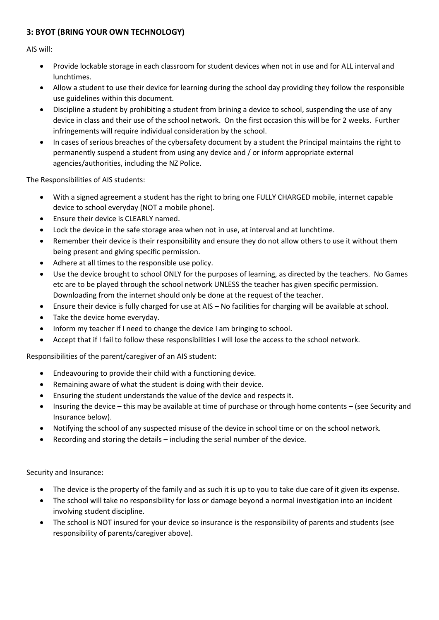# **3: BYOT (BRING YOUR OWN TECHNOLOGY)**

AIS will:

- Provide lockable storage in each classroom for student devices when not in use and for ALL interval and lunchtimes.
- Allow a student to use their device for learning during the school day providing they follow the responsible use guidelines within this document.
- Discipline a student by prohibiting a student from brining a device to school, suspending the use of any device in class and their use of the school network. On the first occasion this will be for 2 weeks. Further infringements will require individual consideration by the school.
- In cases of serious breaches of the cybersafety document by a student the Principal maintains the right to permanently suspend a student from using any device and / or inform appropriate external agencies/authorities, including the NZ Police.

The Responsibilities of AIS students:

- With a signed agreement a student has the right to bring one FULLY CHARGED mobile, internet capable device to school everyday (NOT a mobile phone).
- Ensure their device is CLEARLY named.
- Lock the device in the safe storage area when not in use, at interval and at lunchtime.
- Remember their device is their responsibility and ensure they do not allow others to use it without them being present and giving specific permission.
- Adhere at all times to the responsible use policy.
- Use the device brought to school ONLY for the purposes of learning, as directed by the teachers. No Games etc are to be played through the school network UNLESS the teacher has given specific permission. Downloading from the internet should only be done at the request of the teacher.
- Ensure their device is fully charged for use at AIS No facilities for charging will be available at school.
- Take the device home everyday.
- Inform my teacher if I need to change the device I am bringing to school.
- Accept that if I fail to follow these responsibilities I will lose the access to the school network.

Responsibilities of the parent/caregiver of an AIS student:

- Endeavouring to provide their child with a functioning device.
- Remaining aware of what the student is doing with their device.
- Ensuring the student understands the value of the device and respects it.
- Insuring the device this may be available at time of purchase or through home contents (see Security and Insurance below).
- Notifying the school of any suspected misuse of the device in school time or on the school network.
- Recording and storing the details including the serial number of the device.

Security and Insurance:

- The device is the property of the family and as such it is up to you to take due care of it given its expense.
- The school will take no responsibility for loss or damage beyond a normal investigation into an incident involving student discipline.
- The school is NOT insured for your device so insurance is the responsibility of parents and students (see responsibility of parents/caregiver above).